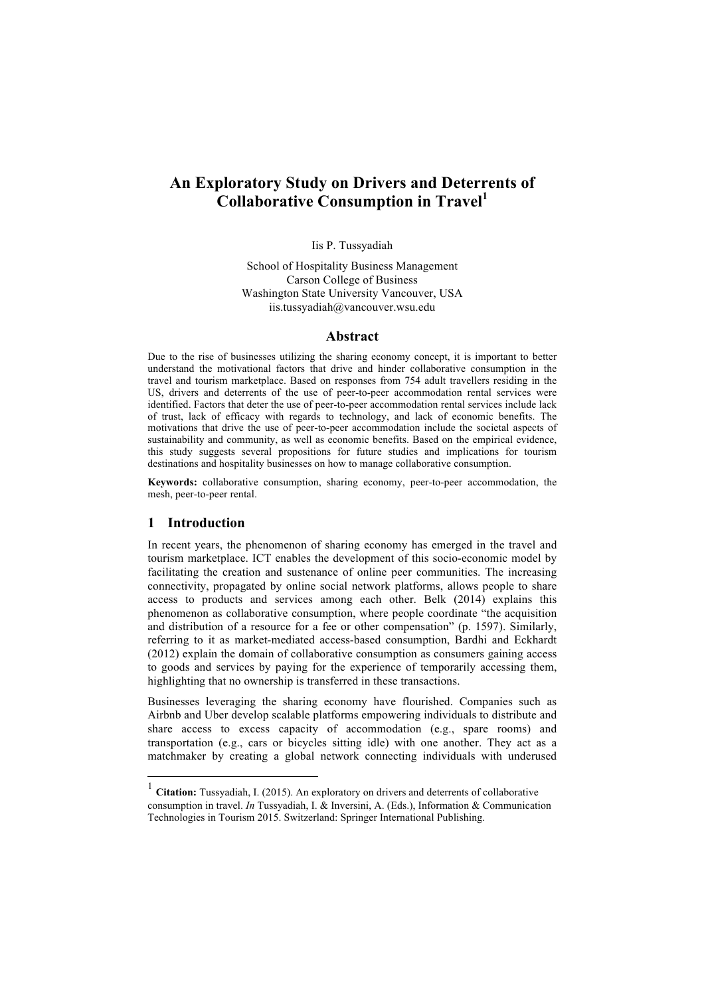# **An Exploratory Study on Drivers and Deterrents of Collaborative Consumption in Travel<sup>1</sup>**

Iis P. Tussyadiah

School of Hospitality Business Management Carson College of Business Washington State University Vancouver, USA iis.tussyadiah@vancouver.wsu.edu

### **Abstract**

Due to the rise of businesses utilizing the sharing economy concept, it is important to better understand the motivational factors that drive and hinder collaborative consumption in the travel and tourism marketplace. Based on responses from 754 adult travellers residing in the US, drivers and deterrents of the use of peer-to-peer accommodation rental services were identified. Factors that deter the use of peer-to-peer accommodation rental services include lack of trust, lack of efficacy with regards to technology, and lack of economic benefits. The motivations that drive the use of peer-to-peer accommodation include the societal aspects of sustainability and community, as well as economic benefits. Based on the empirical evidence, this study suggests several propositions for future studies and implications for tourism destinations and hospitality businesses on how to manage collaborative consumption.

**Keywords:** collaborative consumption, sharing economy, peer-to-peer accommodation, the mesh, peer-to-peer rental.

## **1 Introduction**

In recent years, the phenomenon of sharing economy has emerged in the travel and tourism marketplace. ICT enables the development of this socio-economic model by facilitating the creation and sustenance of online peer communities. The increasing connectivity, propagated by online social network platforms, allows people to share access to products and services among each other. Belk (2014) explains this phenomenon as collaborative consumption, where people coordinate "the acquisition and distribution of a resource for a fee or other compensation" (p. 1597). Similarly, referring to it as market-mediated access-based consumption, Bardhi and Eckhardt (2012) explain the domain of collaborative consumption as consumers gaining access to goods and services by paying for the experience of temporarily accessing them, highlighting that no ownership is transferred in these transactions.

Businesses leveraging the sharing economy have flourished. Companies such as Airbnb and Uber develop scalable platforms empowering individuals to distribute and share access to excess capacity of accommodation (e.g., spare rooms) and transportation (e.g., cars or bicycles sitting idle) with one another. They act as a matchmaker by creating a global network connecting individuals with underused

<sup>&</sup>lt;sup>1</sup> **Citation:** Tussyadiah, I. (2015). An exploratory on drivers and deterrents of collaborative consumption in travel. *In* Tussyadiah, I. & Inversini, A. (Eds.), Information & Communication Technologies in Tourism 2015. Switzerland: Springer International Publishing.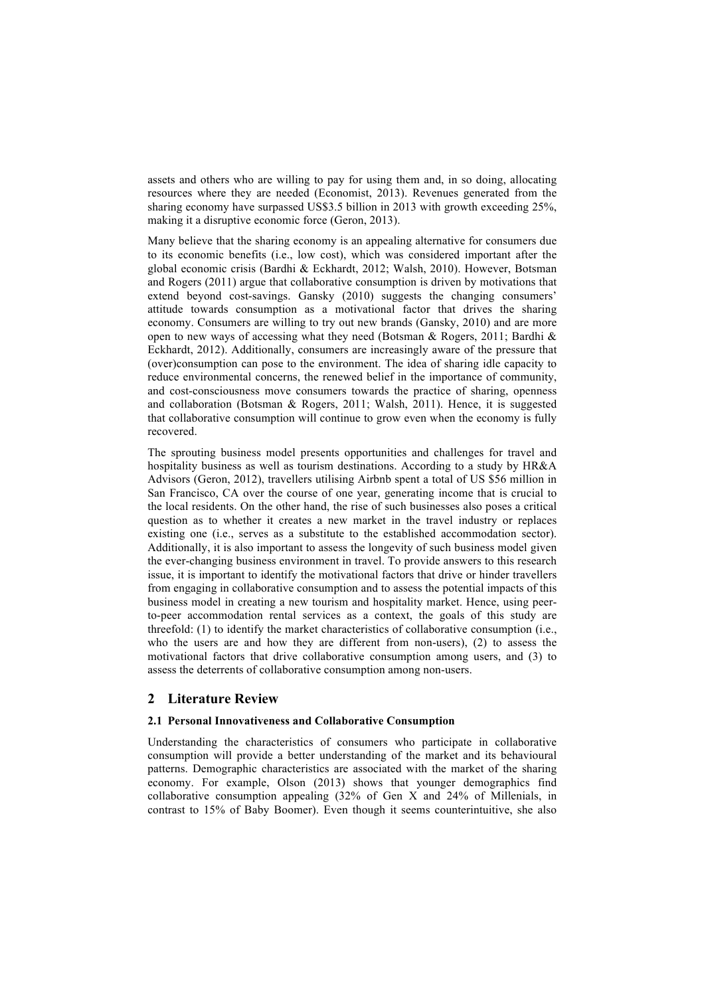assets and others who are willing to pay for using them and, in so doing, allocating resources where they are needed (Economist, 2013). Revenues generated from the sharing economy have surpassed US\$3.5 billion in 2013 with growth exceeding 25%, making it a disruptive economic force (Geron, 2013).

Many believe that the sharing economy is an appealing alternative for consumers due to its economic benefits (i.e., low cost), which was considered important after the global economic crisis (Bardhi & Eckhardt, 2012; Walsh, 2010). However, Botsman and Rogers (2011) argue that collaborative consumption is driven by motivations that extend beyond cost-savings. Gansky (2010) suggests the changing consumers' attitude towards consumption as a motivational factor that drives the sharing economy. Consumers are willing to try out new brands (Gansky, 2010) and are more open to new ways of accessing what they need (Botsman & Rogers, 2011; Bardhi & Eckhardt, 2012). Additionally, consumers are increasingly aware of the pressure that (over)consumption can pose to the environment. The idea of sharing idle capacity to reduce environmental concerns, the renewed belief in the importance of community, and cost-consciousness move consumers towards the practice of sharing, openness and collaboration (Botsman & Rogers, 2011; Walsh, 2011). Hence, it is suggested that collaborative consumption will continue to grow even when the economy is fully recovered.

The sprouting business model presents opportunities and challenges for travel and hospitality business as well as tourism destinations. According to a study by HR&A Advisors (Geron, 2012), travellers utilising Airbnb spent a total of US \$56 million in San Francisco, CA over the course of one year, generating income that is crucial to the local residents. On the other hand, the rise of such businesses also poses a critical question as to whether it creates a new market in the travel industry or replaces existing one (i.e., serves as a substitute to the established accommodation sector). Additionally, it is also important to assess the longevity of such business model given the ever-changing business environment in travel. To provide answers to this research issue, it is important to identify the motivational factors that drive or hinder travellers from engaging in collaborative consumption and to assess the potential impacts of this business model in creating a new tourism and hospitality market. Hence, using peerto-peer accommodation rental services as a context, the goals of this study are threefold: (1) to identify the market characteristics of collaborative consumption (i.e., who the users are and how they are different from non-users), (2) to assess the motivational factors that drive collaborative consumption among users, and (3) to assess the deterrents of collaborative consumption among non-users.

## **2 Literature Review**

#### **2.1 Personal Innovativeness and Collaborative Consumption**

Understanding the characteristics of consumers who participate in collaborative consumption will provide a better understanding of the market and its behavioural patterns. Demographic characteristics are associated with the market of the sharing economy. For example, Olson (2013) shows that younger demographics find collaborative consumption appealing (32% of Gen X and 24% of Millenials, in contrast to 15% of Baby Boomer). Even though it seems counterintuitive, she also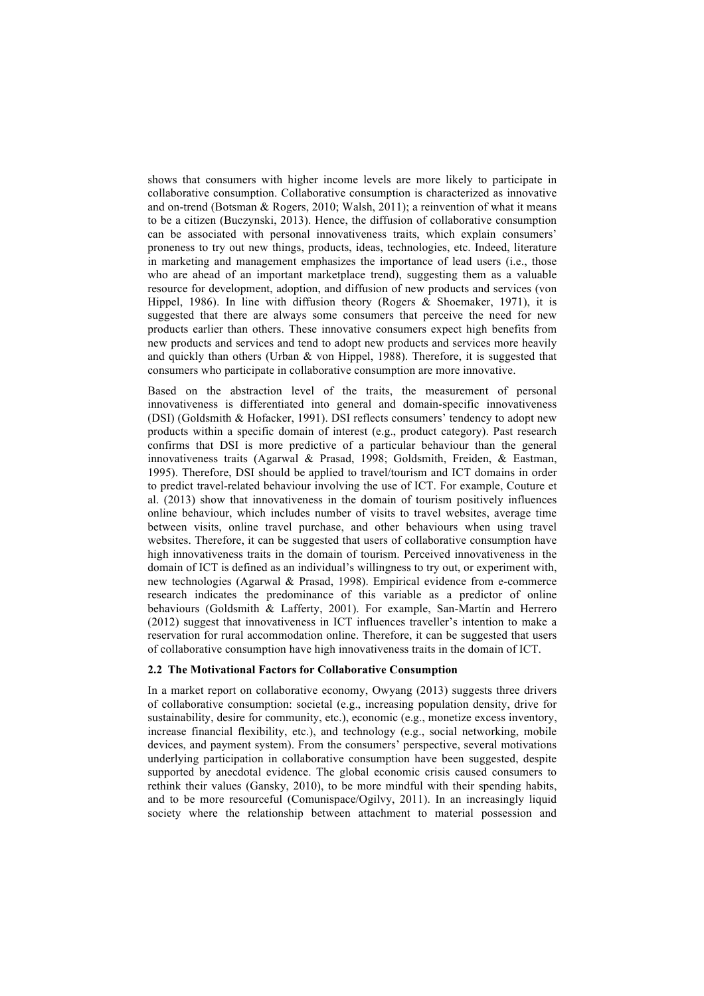shows that consumers with higher income levels are more likely to participate in collaborative consumption. Collaborative consumption is characterized as innovative and on-trend (Botsman & Rogers, 2010; Walsh, 2011); a reinvention of what it means to be a citizen (Buczynski, 2013). Hence, the diffusion of collaborative consumption can be associated with personal innovativeness traits, which explain consumers' proneness to try out new things, products, ideas, technologies, etc. Indeed, literature in marketing and management emphasizes the importance of lead users (i.e., those who are ahead of an important marketplace trend), suggesting them as a valuable resource for development, adoption, and diffusion of new products and services (von Hippel, 1986). In line with diffusion theory (Rogers & Shoemaker, 1971), it is suggested that there are always some consumers that perceive the need for new products earlier than others. These innovative consumers expect high benefits from new products and services and tend to adopt new products and services more heavily and quickly than others (Urban & von Hippel, 1988). Therefore, it is suggested that consumers who participate in collaborative consumption are more innovative.

Based on the abstraction level of the traits, the measurement of personal innovativeness is differentiated into general and domain-specific innovativeness (DSI) (Goldsmith & Hofacker, 1991). DSI reflects consumers' tendency to adopt new products within a specific domain of interest (e.g., product category). Past research confirms that DSI is more predictive of a particular behaviour than the general innovativeness traits (Agarwal & Prasad, 1998; Goldsmith, Freiden, & Eastman, 1995). Therefore, DSI should be applied to travel/tourism and ICT domains in order to predict travel-related behaviour involving the use of ICT. For example, Couture et al. (2013) show that innovativeness in the domain of tourism positively influences online behaviour, which includes number of visits to travel websites, average time between visits, online travel purchase, and other behaviours when using travel websites. Therefore, it can be suggested that users of collaborative consumption have high innovativeness traits in the domain of tourism. Perceived innovativeness in the domain of ICT is defined as an individual's willingness to try out, or experiment with, new technologies (Agarwal & Prasad, 1998). Empirical evidence from e-commerce research indicates the predominance of this variable as a predictor of online behaviours (Goldsmith & Lafferty, 2001). For example, San-Martín and Herrero (2012) suggest that innovativeness in ICT influences traveller's intention to make a reservation for rural accommodation online. Therefore, it can be suggested that users of collaborative consumption have high innovativeness traits in the domain of ICT.

#### **2.2 The Motivational Factors for Collaborative Consumption**

In a market report on collaborative economy, Owyang (2013) suggests three drivers of collaborative consumption: societal (e.g., increasing population density, drive for sustainability, desire for community, etc.), economic (e.g., monetize excess inventory, increase financial flexibility, etc.), and technology (e.g., social networking, mobile devices, and payment system). From the consumers' perspective, several motivations underlying participation in collaborative consumption have been suggested, despite supported by anecdotal evidence. The global economic crisis caused consumers to rethink their values (Gansky, 2010), to be more mindful with their spending habits, and to be more resourceful (Comunispace/Ogilvy, 2011). In an increasingly liquid society where the relationship between attachment to material possession and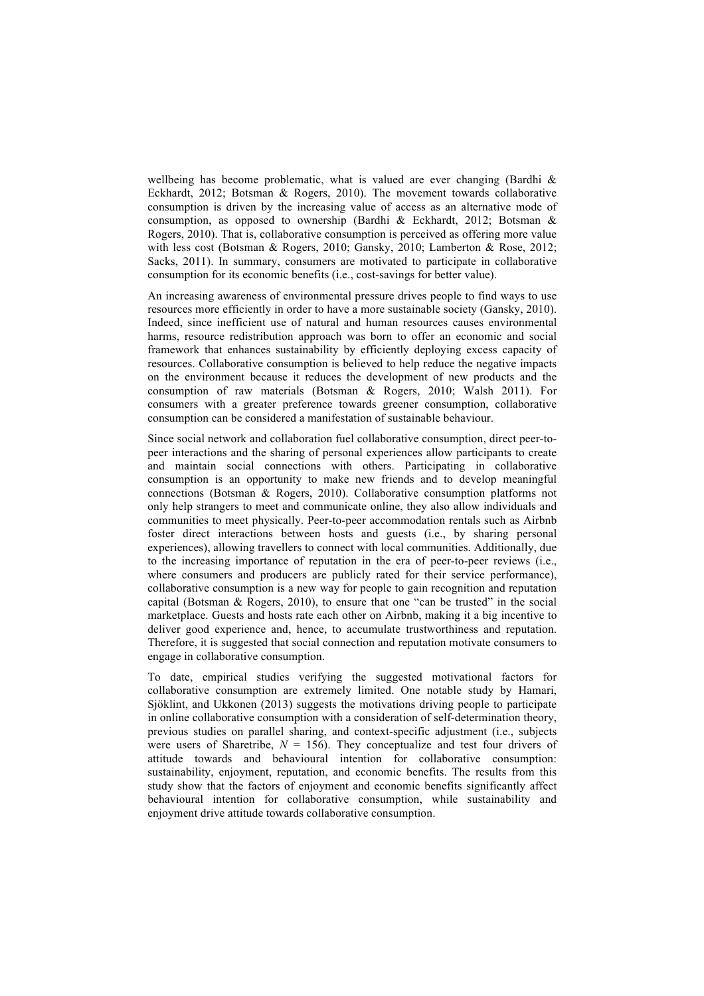wellbeing has become problematic, what is valued are ever changing (Bardhi  $\&$ Eckhardt, 2012; Botsman & Rogers, 2010). The movement towards collaborative consumption is driven by the increasing value of access as an alternative mode of consumption, as opposed to ownership (Bardhi & Eckhardt, 2012; Botsman & Rogers, 2010). That is, collaborative consumption is perceived as offering more value with less cost (Botsman & Rogers, 2010; Gansky, 2010; Lamberton & Rose, 2012; Sacks, 2011). In summary, consumers are motivated to participate in collaborative consumption for its economic benefits (i.e., cost-savings for better value).

An increasing awareness of environmental pressure drives people to find ways to use resources more efficiently in order to have a more sustainable society (Gansky, 2010). Indeed, since inefficient use of natural and human resources causes environmental harms, resource redistribution approach was born to offer an economic and social framework that enhances sustainability by efficiently deploying excess capacity of resources. Collaborative consumption is believed to help reduce the negative impacts on the environment because it reduces the development of new products and the consumption of raw materials (Botsman & Rogers, 2010; Walsh 2011). For consumers with a greater preference towards greener consumption, collaborative consumption can be considered a manifestation of sustainable behaviour.

Since social network and collaboration fuel collaborative consumption, direct peer-topeer interactions and the sharing of personal experiences allow participants to create and maintain social connections with others. Participating in collaborative consumption is an opportunity to make new friends and to develop meaningful connections (Botsman & Rogers, 2010). Collaborative consumption platforms not only help strangers to meet and communicate online, they also allow individuals and communities to meet physically. Peer-to-peer accommodation rentals such as Airbnb foster direct interactions between hosts and guests (i.e., by sharing personal experiences), allowing travellers to connect with local communities. Additionally, due to the increasing importance of reputation in the era of peer-to-peer reviews (i.e., where consumers and producers are publicly rated for their service performance), collaborative consumption is a new way for people to gain recognition and reputation capital (Botsman & Rogers, 2010), to ensure that one "can be trusted" in the social marketplace. Guests and hosts rate each other on Airbnb, making it a big incentive to deliver good experience and, hence, to accumulate trustworthiness and reputation. Therefore, it is suggested that social connection and reputation motivate consumers to engage in collaborative consumption.

To date, empirical studies verifying the suggested motivational factors for collaborative consumption are extremely limited. One notable study by Hamari, Sjöklint, and Ukkonen (2013) suggests the motivations driving people to participate in online collaborative consumption with a consideration of self-determination theory, previous studies on parallel sharing, and context-specific adjustment (i.e., subjects were users of Sharetribe,  $N = 156$ ). They conceptualize and test four drivers of attitude towards and behavioural intention for collaborative consumption: sustainability, enjoyment, reputation, and economic benefits. The results from this study show that the factors of enjoyment and economic benefits significantly affect behavioural intention for collaborative consumption, while sustainability and enjoyment drive attitude towards collaborative consumption.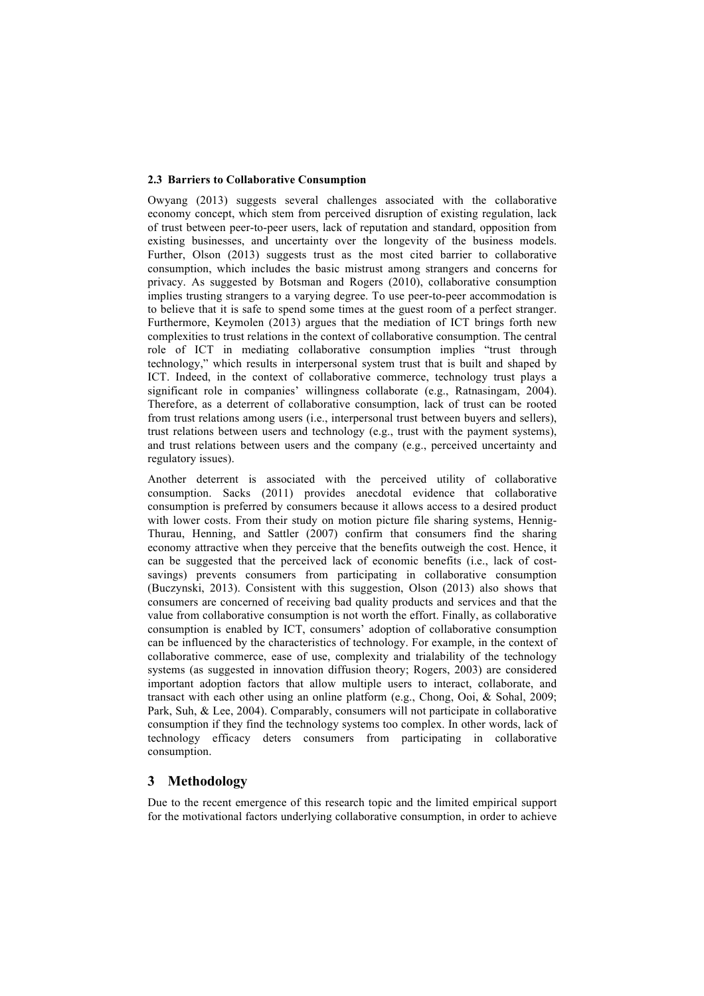#### **2.3 Barriers to Collaborative Consumption**

Owyang (2013) suggests several challenges associated with the collaborative economy concept, which stem from perceived disruption of existing regulation, lack of trust between peer-to-peer users, lack of reputation and standard, opposition from existing businesses, and uncertainty over the longevity of the business models. Further, Olson (2013) suggests trust as the most cited barrier to collaborative consumption, which includes the basic mistrust among strangers and concerns for privacy. As suggested by Botsman and Rogers (2010), collaborative consumption implies trusting strangers to a varying degree. To use peer-to-peer accommodation is to believe that it is safe to spend some times at the guest room of a perfect stranger. Furthermore, Keymolen (2013) argues that the mediation of ICT brings forth new complexities to trust relations in the context of collaborative consumption. The central role of ICT in mediating collaborative consumption implies "trust through technology," which results in interpersonal system trust that is built and shaped by ICT. Indeed, in the context of collaborative commerce, technology trust plays a significant role in companies' willingness collaborate (e.g., Ratnasingam, 2004). Therefore, as a deterrent of collaborative consumption, lack of trust can be rooted from trust relations among users (i.e., interpersonal trust between buyers and sellers), trust relations between users and technology (e.g., trust with the payment systems), and trust relations between users and the company (e.g., perceived uncertainty and regulatory issues).

Another deterrent is associated with the perceived utility of collaborative consumption. Sacks (2011) provides anecdotal evidence that collaborative consumption is preferred by consumers because it allows access to a desired product with lower costs. From their study on motion picture file sharing systems, Hennig-Thurau, Henning, and Sattler (2007) confirm that consumers find the sharing economy attractive when they perceive that the benefits outweigh the cost. Hence, it can be suggested that the perceived lack of economic benefits (i.e., lack of costsavings) prevents consumers from participating in collaborative consumption (Buczynski, 2013). Consistent with this suggestion, Olson (2013) also shows that consumers are concerned of receiving bad quality products and services and that the value from collaborative consumption is not worth the effort. Finally, as collaborative consumption is enabled by ICT, consumers' adoption of collaborative consumption can be influenced by the characteristics of technology. For example, in the context of collaborative commerce, ease of use, complexity and trialability of the technology systems (as suggested in innovation diffusion theory; Rogers, 2003) are considered important adoption factors that allow multiple users to interact, collaborate, and transact with each other using an online platform (e.g., Chong, Ooi, & Sohal, 2009; Park, Suh, & Lee, 2004). Comparably, consumers will not participate in collaborative consumption if they find the technology systems too complex. In other words, lack of technology efficacy deters consumers from participating in collaborative consumption.

## **3 Methodology**

Due to the recent emergence of this research topic and the limited empirical support for the motivational factors underlying collaborative consumption, in order to achieve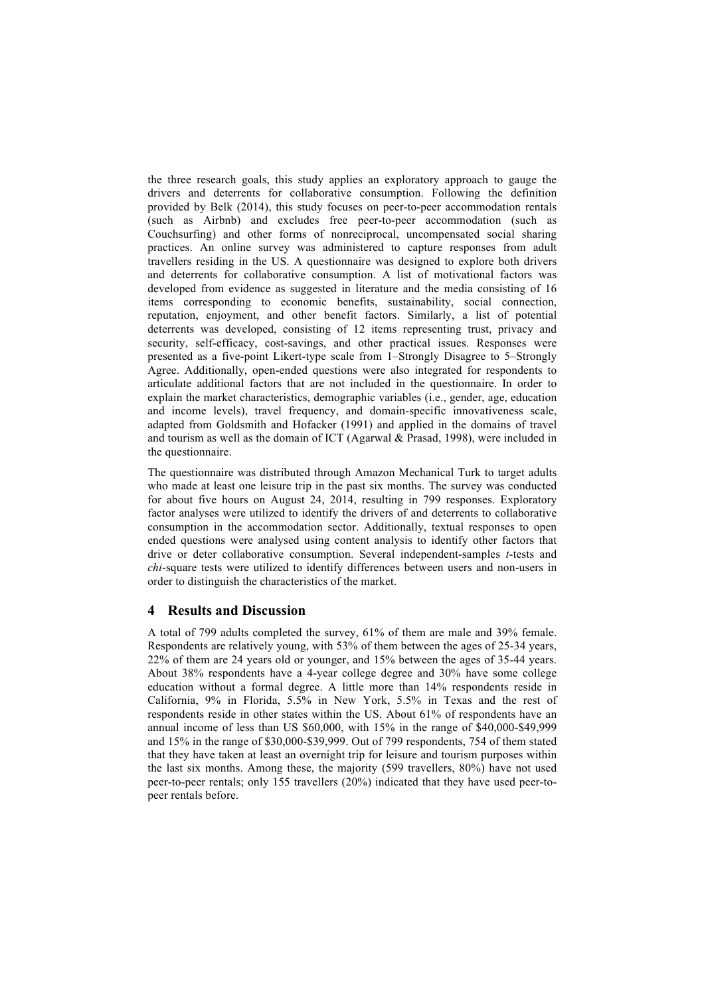the three research goals, this study applies an exploratory approach to gauge the drivers and deterrents for collaborative consumption. Following the definition provided by Belk (2014), this study focuses on peer-to-peer accommodation rentals (such as Airbnb) and excludes free peer-to-peer accommodation (such as Couchsurfing) and other forms of nonreciprocal, uncompensated social sharing practices. An online survey was administered to capture responses from adult travellers residing in the US. A questionnaire was designed to explore both drivers and deterrents for collaborative consumption. A list of motivational factors was developed from evidence as suggested in literature and the media consisting of 16 items corresponding to economic benefits, sustainability, social connection, reputation, enjoyment, and other benefit factors. Similarly, a list of potential deterrents was developed, consisting of 12 items representing trust, privacy and security, self-efficacy, cost-savings, and other practical issues. Responses were presented as a five-point Likert-type scale from 1–Strongly Disagree to 5–Strongly Agree. Additionally, open-ended questions were also integrated for respondents to articulate additional factors that are not included in the questionnaire. In order to explain the market characteristics, demographic variables (i.e., gender, age, education and income levels), travel frequency, and domain-specific innovativeness scale, adapted from Goldsmith and Hofacker (1991) and applied in the domains of travel and tourism as well as the domain of ICT (Agarwal & Prasad, 1998), were included in the questionnaire.

The questionnaire was distributed through Amazon Mechanical Turk to target adults who made at least one leisure trip in the past six months. The survey was conducted for about five hours on August 24, 2014, resulting in 799 responses. Exploratory factor analyses were utilized to identify the drivers of and deterrents to collaborative consumption in the accommodation sector. Additionally, textual responses to open ended questions were analysed using content analysis to identify other factors that drive or deter collaborative consumption. Several independent-samples *t*-tests and *chi*-square tests were utilized to identify differences between users and non-users in order to distinguish the characteristics of the market.

# **4 Results and Discussion**

A total of 799 adults completed the survey, 61% of them are male and 39% female. Respondents are relatively young, with 53% of them between the ages of 25-34 years, 22% of them are 24 years old or younger, and 15% between the ages of 35-44 years. About 38% respondents have a 4-year college degree and 30% have some college education without a formal degree. A little more than 14% respondents reside in California, 9% in Florida, 5.5% in New York, 5.5% in Texas and the rest of respondents reside in other states within the US. About 61% of respondents have an annual income of less than US \$60,000, with 15% in the range of \$40,000-\$49,999 and 15% in the range of \$30,000-\$39,999. Out of 799 respondents, 754 of them stated that they have taken at least an overnight trip for leisure and tourism purposes within the last six months. Among these, the majority (599 travellers, 80%) have not used peer-to-peer rentals; only 155 travellers (20%) indicated that they have used peer-topeer rentals before.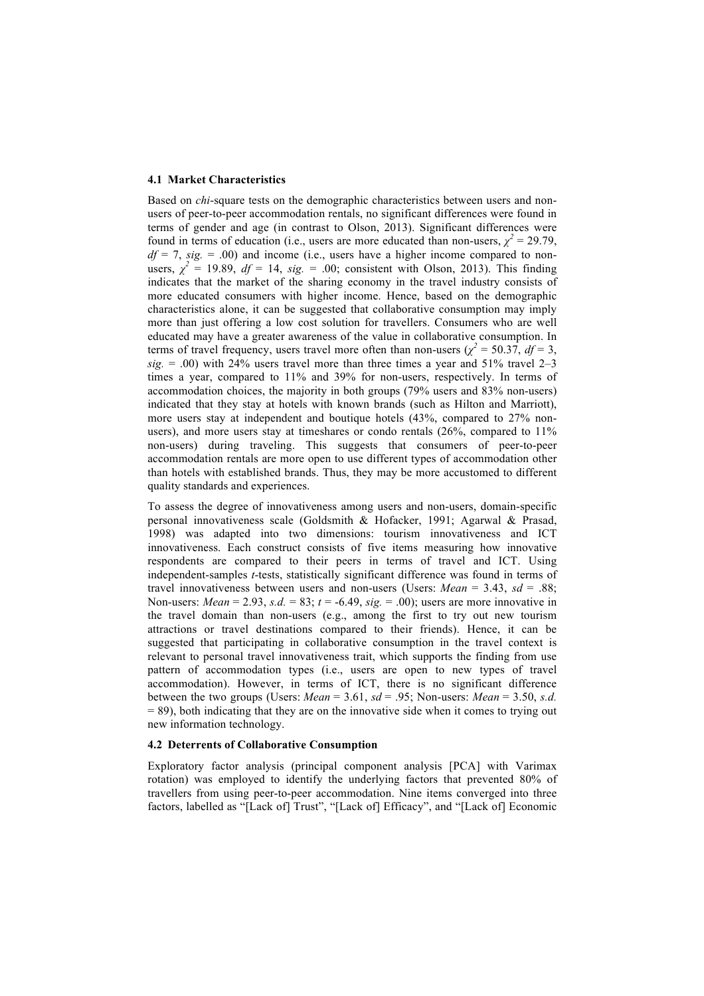#### **4.1 Market Characteristics**

Based on *chi*-square tests on the demographic characteristics between users and nonusers of peer-to-peer accommodation rentals, no significant differences were found in terms of gender and age (in contrast to Olson, 2013). Significant differences were found in terms of education (i.e., users are more educated than non-users,  $\chi^2 = 29.79$ ,  $df = 7$ ,  $sig. = .00$ ) and income (i.e., users have a higher income compared to nonusers,  $\chi^2 = 19.89$ ,  $df = 14$ , *sig.* = .00; consistent with Olson, 2013). This finding indicates that the market of the sharing economy in the travel industry consists of more educated consumers with higher income. Hence, based on the demographic characteristics alone, it can be suggested that collaborative consumption may imply more than just offering a low cost solution for travellers. Consumers who are well educated may have a greater awareness of the value in collaborative consumption. In terms of travel frequency, users travel more often than non-users ( $\chi^2$  = 50.37, *df* = 3,  $sig. = 0.00$ ) with 24% users travel more than three times a year and 51% travel 2–3 times a year, compared to 11% and 39% for non-users, respectively. In terms of accommodation choices, the majority in both groups (79% users and 83% non-users) indicated that they stay at hotels with known brands (such as Hilton and Marriott), more users stay at independent and boutique hotels (43%, compared to 27% nonusers), and more users stay at timeshares or condo rentals (26%, compared to 11% non-users) during traveling. This suggests that consumers of peer-to-peer accommodation rentals are more open to use different types of accommodation other than hotels with established brands. Thus, they may be more accustomed to different quality standards and experiences.

To assess the degree of innovativeness among users and non-users, domain-specific personal innovativeness scale (Goldsmith & Hofacker, 1991; Agarwal & Prasad, 1998) was adapted into two dimensions: tourism innovativeness and ICT innovativeness. Each construct consists of five items measuring how innovative respondents are compared to their peers in terms of travel and ICT. Using independent-samples *t*-tests, statistically significant difference was found in terms of travel innovativeness between users and non-users (Users:  $Mean = 3.43$ ,  $sd = .88$ ; Non-users:  $Mean = 2.93$ ,  $s.d. = 83$ ;  $t = -6.49$ ,  $sig. = .00$ ); users are more innovative in the travel domain than non-users (e.g., among the first to try out new tourism attractions or travel destinations compared to their friends). Hence, it can be suggested that participating in collaborative consumption in the travel context is relevant to personal travel innovativeness trait, which supports the finding from use pattern of accommodation types (i.e., users are open to new types of travel accommodation). However, in terms of ICT, there is no significant difference between the two groups (Users:  $Mean = 3.61$ ,  $sd = .95$ : Non-users:  $Mean = 3.50$ , *s.d.* = 89), both indicating that they are on the innovative side when it comes to trying out new information technology.

## **4.2 Deterrents of Collaborative Consumption**

Exploratory factor analysis (principal component analysis [PCA] with Varimax rotation) was employed to identify the underlying factors that prevented 80% of travellers from using peer-to-peer accommodation. Nine items converged into three factors, labelled as "[Lack of] Trust", "[Lack of] Efficacy", and "[Lack of] Economic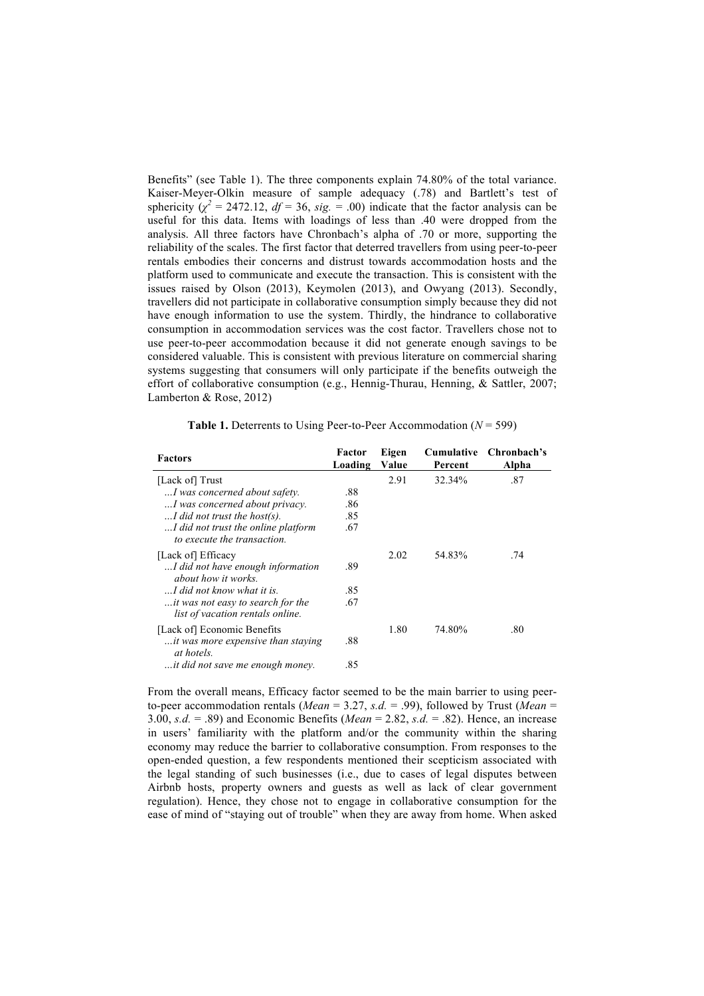Benefits" (see Table 1). The three components explain 74.80% of the total variance. Kaiser-Meyer-Olkin measure of sample adequacy (.78) and Bartlett's test of sphericity  $(\chi^2 = 2472.12, df = 36, sig. = .00)$  indicate that the factor analysis can be useful for this data. Items with loadings of less than .40 were dropped from the analysis. All three factors have Chronbach's alpha of .70 or more, supporting the reliability of the scales. The first factor that deterred travellers from using peer-to-peer rentals embodies their concerns and distrust towards accommodation hosts and the platform used to communicate and execute the transaction. This is consistent with the issues raised by Olson (2013), Keymolen (2013), and Owyang (2013). Secondly, travellers did not participate in collaborative consumption simply because they did not have enough information to use the system. Thirdly, the hindrance to collaborative consumption in accommodation services was the cost factor. Travellers chose not to use peer-to-peer accommodation because it did not generate enough savings to be considered valuable. This is consistent with previous literature on commercial sharing systems suggesting that consumers will only participate if the benefits outweigh the effort of collaborative consumption (e.g., Hennig-Thurau, Henning, & Sattler, 2007; Lamberton & Rose, 2012)

| <b>Factors</b>                                                  | Factor  | Eigen | Cumulative | Chronbach's |
|-----------------------------------------------------------------|---------|-------|------------|-------------|
|                                                                 | Loading | Value | Percent    | Alpha       |
| [Lack of] Trust                                                 |         | 2.91  | 32.34%     | .87         |
| I was concerned about safety.                                   | .88     |       |            |             |
| I was concerned about privacy.                                  | .86     |       |            |             |
| I did not trust the host(s).                                    | .85     |       |            |             |
| I did not trust the online platform                             | .67     |       |            |             |
| to execute the transaction.                                     |         |       |            |             |
| [Lack of] Efficacy                                              |         | 2.02  | 54.83%     | .74         |
| I did not have enough information<br><i>about how it works.</i> | .89     |       |            |             |
| $\ldots$ I did not know what it is.                             | .85     |       |            |             |
| it was not easy to search for the                               | .67     |       |            |             |
| list of vacation rentals online.                                |         |       |            |             |
| [Lack of] Economic Benefits                                     |         | 1.80  | 74.80%     | .80         |
| <i>it</i> was more expensive than staying<br><i>at hotels.</i>  | .88     |       |            |             |
| it did not save me enough money.                                | .85     |       |            |             |

**Table 1.** Deterrents to Using Peer-to-Peer Accommodation (*N* = 599)

From the overall means, Efficacy factor seemed to be the main barrier to using peerto-peer accommodation rentals (*Mean* = 3.27, *s.d.* = .99), followed by Trust (*Mean* = 3.00, *s.d.* = .89) and Economic Benefits (*Mean* = 2.82, *s.d.* = .82). Hence, an increase in users' familiarity with the platform and/or the community within the sharing economy may reduce the barrier to collaborative consumption. From responses to the open-ended question, a few respondents mentioned their scepticism associated with the legal standing of such businesses (i.e., due to cases of legal disputes between Airbnb hosts, property owners and guests as well as lack of clear government regulation). Hence, they chose not to engage in collaborative consumption for the ease of mind of "staying out of trouble" when they are away from home. When asked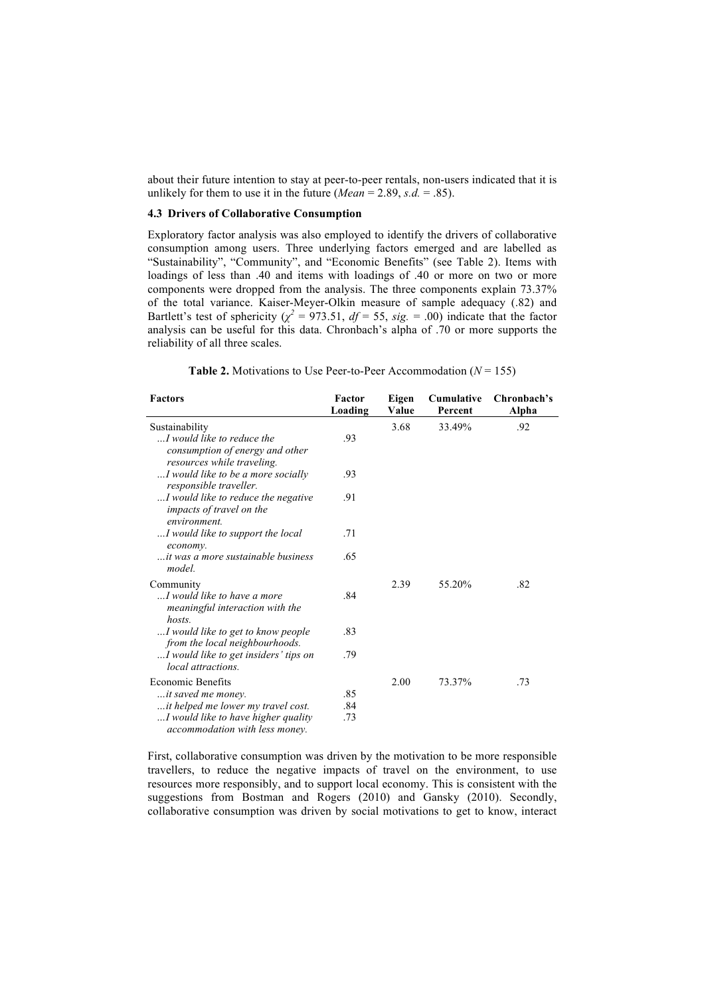about their future intention to stay at peer-to-peer rentals, non-users indicated that it is unlikely for them to use it in the future ( $Mean = 2.89$ ,  $s.d. = .85$ ).

#### **4.3 Drivers of Collaborative Consumption**

Exploratory factor analysis was also employed to identify the drivers of collaborative consumption among users. Three underlying factors emerged and are labelled as "Sustainability", "Community", and "Economic Benefits" (see Table 2). Items with loadings of less than .40 and items with loadings of .40 or more on two or more components were dropped from the analysis. The three components explain 73.37% of the total variance. Kaiser-Meyer-Olkin measure of sample adequacy (.82) and Bartlett's test of sphericity ( $\chi^2$  = 973.51, *df* = 55, *sig.* = .00) indicate that the factor analysis can be useful for this data. Chronbach's alpha of .70 or more supports the reliability of all three scales.

| <b>Factors</b>                                                                                                | Factor<br>Loading | Eigen<br>Value | Cumulative<br>Percent | Chronbach's<br>Alpha |
|---------------------------------------------------------------------------------------------------------------|-------------------|----------------|-----------------------|----------------------|
| Sustainability<br>I would like to reduce the<br>consumption of energy and other<br>resources while traveling. | .93               | 3.68           | 33.49%                | .92                  |
| I would like to be a more socially<br>responsible traveller.                                                  | .93               |                |                       |                      |
| I would like to reduce the negative<br>impacts of travel on the<br>environment.                               | .91               |                |                       |                      |
| I would like to support the local<br>economy.                                                                 | .71               |                |                       |                      |
| it was a more sustainable business<br>model.                                                                  | .65               |                |                       |                      |
| Community                                                                                                     |                   | 2.39           | 55.20%                | .82                  |
| I would like to have a more<br>meaningful interaction with the<br>hosts.                                      | .84               |                |                       |                      |
| I would like to get to know people<br>from the local neighbourhoods.                                          | .83               |                |                       |                      |
| I would like to get insiders' tips on<br><i>local attractions.</i>                                            | .79               |                |                       |                      |
| Economic Benefits                                                                                             |                   | 2.00           | 73.37%                | .73                  |
| it saved me money.                                                                                            | .85               |                |                       |                      |
| it helped me lower my travel cost.                                                                            | .84               |                |                       |                      |
| I would like to have higher quality<br>accommodation with less money.                                         | .73               |                |                       |                      |

**Table 2.** Motivations to Use Peer-to-Peer Accommodation  $(N = 155)$ 

First, collaborative consumption was driven by the motivation to be more responsible travellers, to reduce the negative impacts of travel on the environment, to use resources more responsibly, and to support local economy. This is consistent with the suggestions from Bostman and Rogers (2010) and Gansky (2010). Secondly, collaborative consumption was driven by social motivations to get to know, interact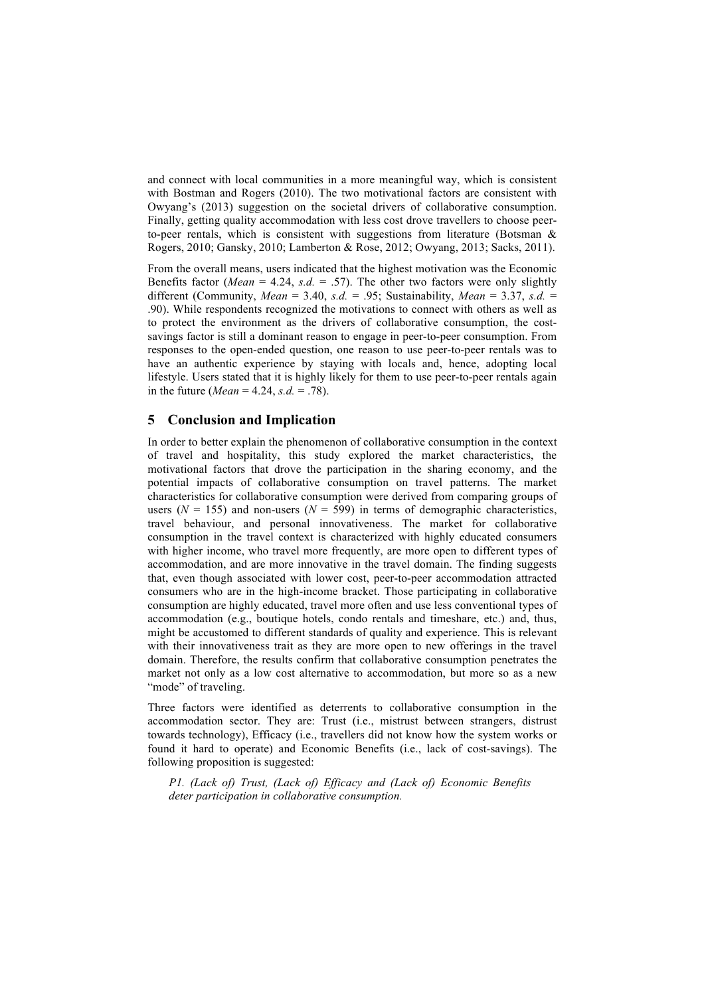and connect with local communities in a more meaningful way, which is consistent with Bostman and Rogers (2010). The two motivational factors are consistent with Owyang's (2013) suggestion on the societal drivers of collaborative consumption. Finally, getting quality accommodation with less cost drove travellers to choose peerto-peer rentals, which is consistent with suggestions from literature (Botsman  $\&$ Rogers, 2010; Gansky, 2010; Lamberton & Rose, 2012; Owyang, 2013; Sacks, 2011).

From the overall means, users indicated that the highest motivation was the Economic Benefits factor (*Mean* = 4.24, *s.d.* = .57). The other two factors were only slightly different (Community, *Mean* = 3.40, *s.d.* = .95; Sustainability, *Mean* = 3.37, *s.d.* = .90). While respondents recognized the motivations to connect with others as well as to protect the environment as the drivers of collaborative consumption, the costsavings factor is still a dominant reason to engage in peer-to-peer consumption. From responses to the open-ended question, one reason to use peer-to-peer rentals was to have an authentic experience by staying with locals and, hence, adopting local lifestyle. Users stated that it is highly likely for them to use peer-to-peer rentals again in the future (*Mean* = 4.24, *s.d.* = .78).

# **5 Conclusion and Implication**

In order to better explain the phenomenon of collaborative consumption in the context of travel and hospitality, this study explored the market characteristics, the motivational factors that drove the participation in the sharing economy, and the potential impacts of collaborative consumption on travel patterns. The market characteristics for collaborative consumption were derived from comparing groups of users ( $N = 155$ ) and non-users ( $N = 599$ ) in terms of demographic characteristics, travel behaviour, and personal innovativeness. The market for collaborative consumption in the travel context is characterized with highly educated consumers with higher income, who travel more frequently, are more open to different types of accommodation, and are more innovative in the travel domain. The finding suggests that, even though associated with lower cost, peer-to-peer accommodation attracted consumers who are in the high-income bracket. Those participating in collaborative consumption are highly educated, travel more often and use less conventional types of accommodation (e.g., boutique hotels, condo rentals and timeshare, etc.) and, thus, might be accustomed to different standards of quality and experience. This is relevant with their innovativeness trait as they are more open to new offerings in the travel domain. Therefore, the results confirm that collaborative consumption penetrates the market not only as a low cost alternative to accommodation, but more so as a new "mode" of traveling.

Three factors were identified as deterrents to collaborative consumption in the accommodation sector. They are: Trust (i.e., mistrust between strangers, distrust towards technology), Efficacy (i.e., travellers did not know how the system works or found it hard to operate) and Economic Benefits (i.e., lack of cost-savings). The following proposition is suggested:

*P1. (Lack of) Trust, (Lack of) Efficacy and (Lack of) Economic Benefits deter participation in collaborative consumption.*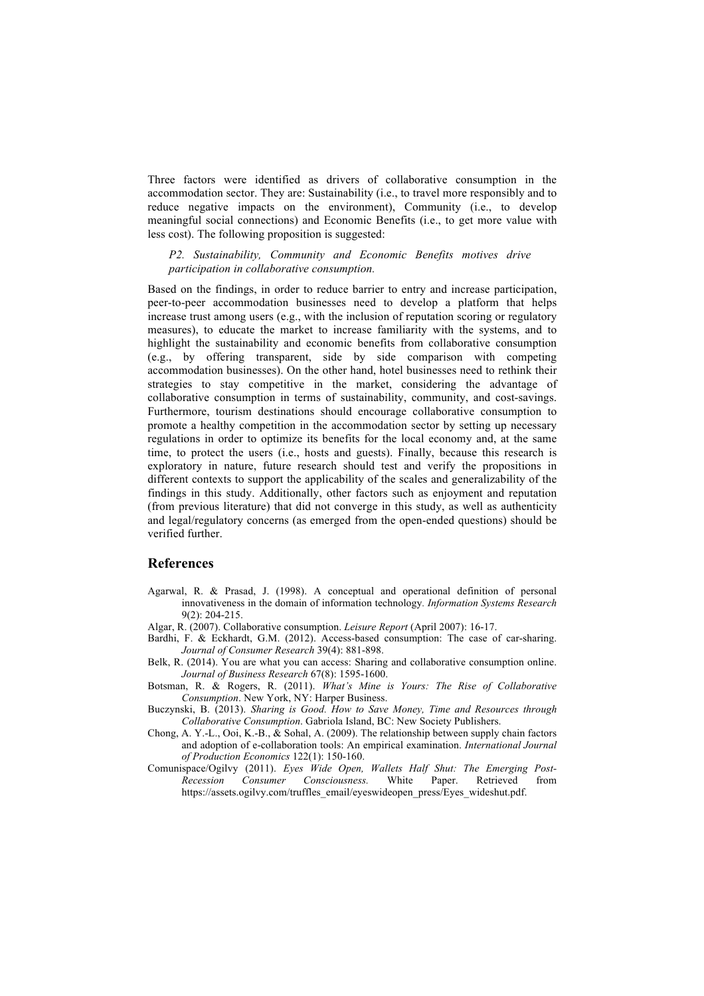Three factors were identified as drivers of collaborative consumption in the accommodation sector. They are: Sustainability (i.e., to travel more responsibly and to reduce negative impacts on the environment), Community (i.e., to develop meaningful social connections) and Economic Benefits (i.e., to get more value with less cost). The following proposition is suggested:

*P2. Sustainability, Community and Economic Benefits motives drive participation in collaborative consumption.* 

Based on the findings, in order to reduce barrier to entry and increase participation, peer-to-peer accommodation businesses need to develop a platform that helps increase trust among users (e.g., with the inclusion of reputation scoring or regulatory measures), to educate the market to increase familiarity with the systems, and to highlight the sustainability and economic benefits from collaborative consumption (e.g., by offering transparent, side by side comparison with competing accommodation businesses). On the other hand, hotel businesses need to rethink their strategies to stay competitive in the market, considering the advantage of collaborative consumption in terms of sustainability, community, and cost-savings. Furthermore, tourism destinations should encourage collaborative consumption to promote a healthy competition in the accommodation sector by setting up necessary regulations in order to optimize its benefits for the local economy and, at the same time, to protect the users (i.e., hosts and guests). Finally, because this research is exploratory in nature, future research should test and verify the propositions in different contexts to support the applicability of the scales and generalizability of the findings in this study. Additionally, other factors such as enjoyment and reputation (from previous literature) that did not converge in this study, as well as authenticity and legal/regulatory concerns (as emerged from the open-ended questions) should be verified further.

## **References**

- Agarwal, R. & Prasad, J. (1998). A conceptual and operational definition of personal innovativeness in the domain of information technology*. Information Systems Research* 9(2): 204-215.
- Algar, R. (2007). Collaborative consumption. *Leisure Report* (April 2007): 16-17.
- Bardhi, F. & Eckhardt, G.M. (2012). Access-based consumption: The case of car-sharing. *Journal of Consumer Research* 39(4): 881-898.
- Belk, R. (2014). You are what you can access: Sharing and collaborative consumption online. *Journal of Business Research* 67(8): 1595-1600.
- Botsman, R. & Rogers, R. (2011). *What's Mine is Yours: The Rise of Collaborative Consumption*. New York, NY: Harper Business.
- Buczynski, B. (2013). *Sharing is Good. How to Save Money, Time and Resources through Collaborative Consumption*. Gabriola Island, BC: New Society Publishers.
- Chong, A. Y.-L., Ooi, K.-B., & Sohal, A. (2009). The relationship between supply chain factors and adoption of e-collaboration tools: An empirical examination. *International Journal of Production Economics* 122(1): 150-160.
- Comunispace/Ogilvy (2011). *Eyes Wide Open, Wallets Half Shut: The Emerging Post-Recession Consumer Consciousness.* White Paper. Retrieved from https://assets.ogilvy.com/truffles\_email/eyeswideopen\_press/Eyes\_wideshut.pdf.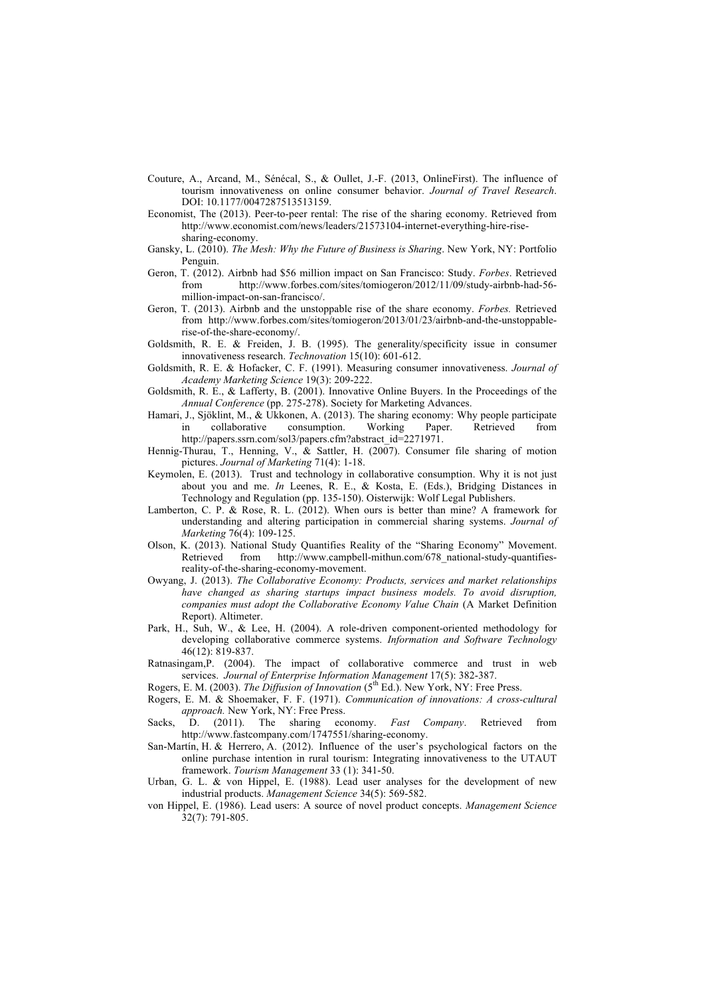- Couture, A., Arcand, M., Sénécal, S., & Oullet, J.-F. (2013, OnlineFirst). The influence of tourism innovativeness on online consumer behavior. *Journal of Travel Research*. DOI: 10.1177/0047287513513159.
- Economist, The (2013). Peer-to-peer rental: The rise of the sharing economy. Retrieved from http://www.economist.com/news/leaders/21573104-internet-everything-hire-risesharing-economy.
- Gansky, L. (2010). *The Mesh: Why the Future of Business is Sharing*. New York, NY: Portfolio Penguin.
- Geron, T. (2012). Airbnb had \$56 million impact on San Francisco: Study. *Forbes*. Retrieved from http://www.forbes.com/sites/tomiogeron/2012/11/09/study-airbnb-had-56 million-impact-on-san-francisco/.
- Geron, T. (2013). Airbnb and the unstoppable rise of the share economy. *Forbes.* Retrieved from http://www.forbes.com/sites/tomiogeron/2013/01/23/airbnb-and-the-unstoppablerise-of-the-share-economy/.
- Goldsmith, R. E. & Freiden, J. B. (1995). The generality/specificity issue in consumer innovativeness research. *Technovation* 15(10): 601-612.
- Goldsmith, R. E. & Hofacker, C. F. (1991). Measuring consumer innovativeness. *Journal of Academy Marketing Science* 19(3): 209-222.
- Goldsmith, R. E., & Lafferty, B. (2001). Innovative Online Buyers. In the Proceedings of the *Annual Conference* (pp. 275-278). Society for Marketing Advances.
- Hamari, J., Sjöklint, M., & Ukkonen, A. (2013). The sharing economy: Why people participate in collaborative consumption. Working Paper. Retrieved from http://papers.ssrn.com/sol3/papers.cfm?abstract\_id=2271971.
- Hennig-Thurau, T., Henning, V., & Sattler, H. (2007). Consumer file sharing of motion pictures. *Journal of Marketing* 71(4): 1-18.
- Keymolen, E. (2013). Trust and technology in collaborative consumption. Why it is not just about you and me. *In* Leenes, R. E., & Kosta, E. (Eds.), Bridging Distances in Technology and Regulation (pp. 135-150). Oisterwijk: Wolf Legal Publishers.
- Lamberton, C. P. & Rose, R. L. (2012). When ours is better than mine? A framework for understanding and altering participation in commercial sharing systems. *Journal of Marketing* 76(4): 109-125.
- Olson, K. (2013). National Study Quantifies Reality of the "Sharing Economy" Movement. Retrieved from http://www.campbell-mithun.com/678 national-study-quantifiesreality-of-the-sharing-economy-movement.
- Owyang, J. (2013). *The Collaborative Economy: Products, services and market relationships*  have changed as sharing startups impact business models. To avoid disruption, *companies must adopt the Collaborative Economy Value Chain* (A Market Definition Report). Altimeter.
- Park, H., Suh, W., & Lee, H. (2004). A role-driven component-oriented methodology for developing collaborative commerce systems. *Information and Software Technology* 46(12): 819-837.
- Ratnasingam,P. (2004). The impact of collaborative commerce and trust in web services. *Journal of Enterprise Information Management* 17(5): 382-387.
- Rogers, E. M. (2003). *The Diffusion of Innovation* (5<sup>th</sup> Ed.). New York, NY: Free Press.
- Rogers, E. M. & Shoemaker, F. F. (1971). *Communication of innovations: A cross-cultural approach.* New York, NY: Free Press.
- Sacks, D. (2011). The sharing economy. *Fast Company*. Retrieved from http://www.fastcompany.com/1747551/sharing-economy.
- San-Martín, H. & Herrero, A. (2012). Influence of the user's psychological factors on the online purchase intention in rural tourism: Integrating innovativeness to the UTAUT framework. *Tourism Management* 33 (1): 341-50.
- Urban, G. L. & von Hippel, E. (1988). Lead user analyses for the development of new industrial products. *Management Science* 34(5): 569-582.
- von Hippel, E. (1986). Lead users: A source of novel product concepts. *Management Science* 32(7): 791-805.